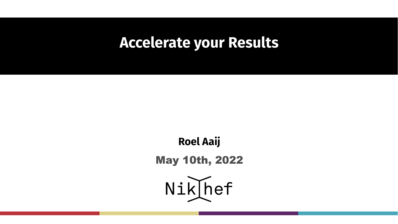# **Accelerate your Results**

**Roel Aaij** May 10th, 2022

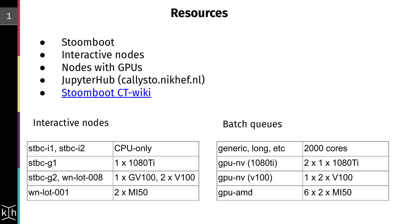## **<sup>1</sup> Resources**

- Stoomboot
- Interactive nodes
- Nodes with GPUs
- JupyterHub (callysto.nikhef.nl)
- [Stoomboot CT-wiki](https://wiki.nikhef.nl/ct/index.php?title=Stoomboot_cluster)

### Interactive nodes Batch queues

| stbc-i1, stbc-i2    | CPU-only            |
|---------------------|---------------------|
| stbc-g1             | 1 x 1080Ti          |
| stbc-g2, wn-lot-008 | 1 x GV100. 2 x V100 |
| wn-lot-001          | $2 \times M150$     |

| generic, long, etc | 2000 cores               |
|--------------------|--------------------------|
| gpu-nv (1080ti)    | 2 x 1 x 1080Ti           |
| gpu-nv (v100)      | $1 \times 2 \times$ V100 |
| gpu-amd            | 16 x 2 x MI50            |

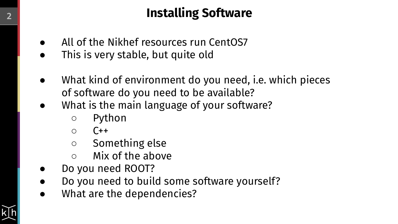## **<sup>2</sup> Installing Software**

- All of the Nikhef resources run CentOS7
- This is very stable, but quite old
- What kind of environment do you need, i.e. which pieces of software do you need to be available?
- What is the main language of your software?
	- Python
	- $\circ$   $\circ$   $\circ$
	- Something else
	- $\circ$  Mix of the above
- Do you need ROOT?
- Do you need to build some software yourself?
- What are the dependencies?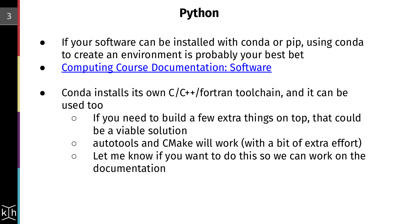# **<sup>3</sup> Python**

- If your software can be installed with conda or pip, using conda to create an environment is probably your best bet
- **[Computing Course Documentation: Software](https://www.nikhef.nl/grid/computing-course/software/where-to-get.html)**
- Conda installs its own  $C/C+$  fortran toolchain, and it can be used too
	- If you need to build a few extra things on top, that could be a viable solution
	- autotools and CMake will work (with a bit of extra effort)
	- Let me know if you want to do this so we can work on the documentation

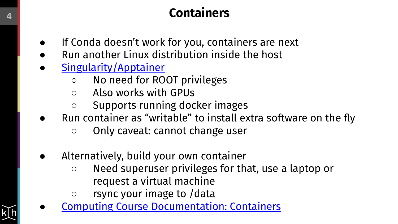# **<sup>4</sup> Containers**

- If Conda doesn't work for you, containers are next
- Run another Linux distribution inside the host
- [Singularity/Apptainer](https://apptainer.org/)
	- No need for ROOT privileges
	- Also works with GPUs
	- Supports running docker images
- Run container as "writable" to install extra software on the fly
	- Only caveat: cannot change user
- Alternatively, build your own container
	- Need superuser privileges for that, use a laptop or request a virtual machine
	- rsync your image to /data
- **[Computing Course Documentation: Containers](https://www.nikhef.nl/grid/computing-course/software/containers.html)**